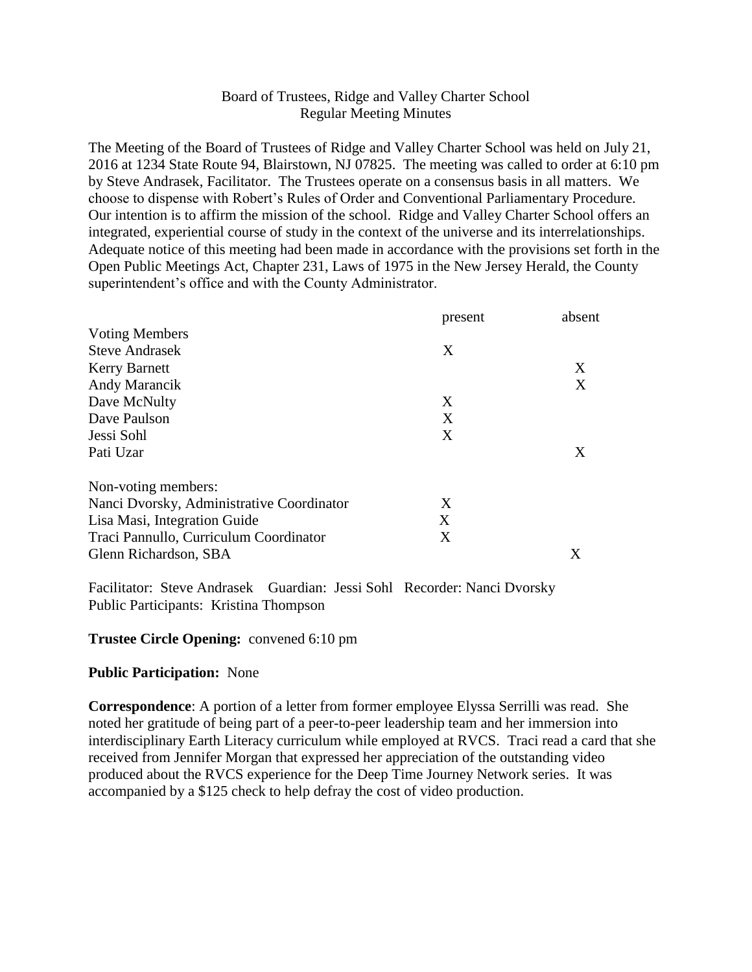# Board of Trustees, Ridge and Valley Charter School Regular Meeting Minutes

The Meeting of the Board of Trustees of Ridge and Valley Charter School was held on July 21, 2016 at 1234 State Route 94, Blairstown, NJ 07825. The meeting was called to order at 6:10 pm by Steve Andrasek, Facilitator. The Trustees operate on a consensus basis in all matters. We choose to dispense with Robert's Rules of Order and Conventional Parliamentary Procedure. Our intention is to affirm the mission of the school. Ridge and Valley Charter School offers an integrated, experiential course of study in the context of the universe and its interrelationships. Adequate notice of this meeting had been made in accordance with the provisions set forth in the Open Public Meetings Act, Chapter 231, Laws of 1975 in the New Jersey Herald, the County superintendent's office and with the County Administrator.

|                                           | present | absent |
|-------------------------------------------|---------|--------|
| <b>Voting Members</b>                     |         |        |
| <b>Steve Andrasek</b>                     | X       |        |
| <b>Kerry Barnett</b>                      |         | X      |
| Andy Marancik                             |         | X      |
| Dave McNulty                              | X       |        |
| Dave Paulson                              | X       |        |
| Jessi Sohl                                | X       |        |
| Pati Uzar                                 |         | X      |
| Non-voting members:                       |         |        |
| Nanci Dvorsky, Administrative Coordinator | X       |        |
| Lisa Masi, Integration Guide              | X       |        |
| Traci Pannullo, Curriculum Coordinator    | X       |        |
| Glenn Richardson, SBA                     |         | X      |

Facilitator: Steve Andrasek Guardian: Jessi Sohl Recorder: Nanci Dvorsky Public Participants: Kristina Thompson

### **Trustee Circle Opening:** convened 6:10 pm

### **Public Participation:** None

**Correspondence**: A portion of a letter from former employee Elyssa Serrilli was read. She noted her gratitude of being part of a peer-to-peer leadership team and her immersion into interdisciplinary Earth Literacy curriculum while employed at RVCS. Traci read a card that she received from Jennifer Morgan that expressed her appreciation of the outstanding video produced about the RVCS experience for the Deep Time Journey Network series. It was accompanied by a \$125 check to help defray the cost of video production.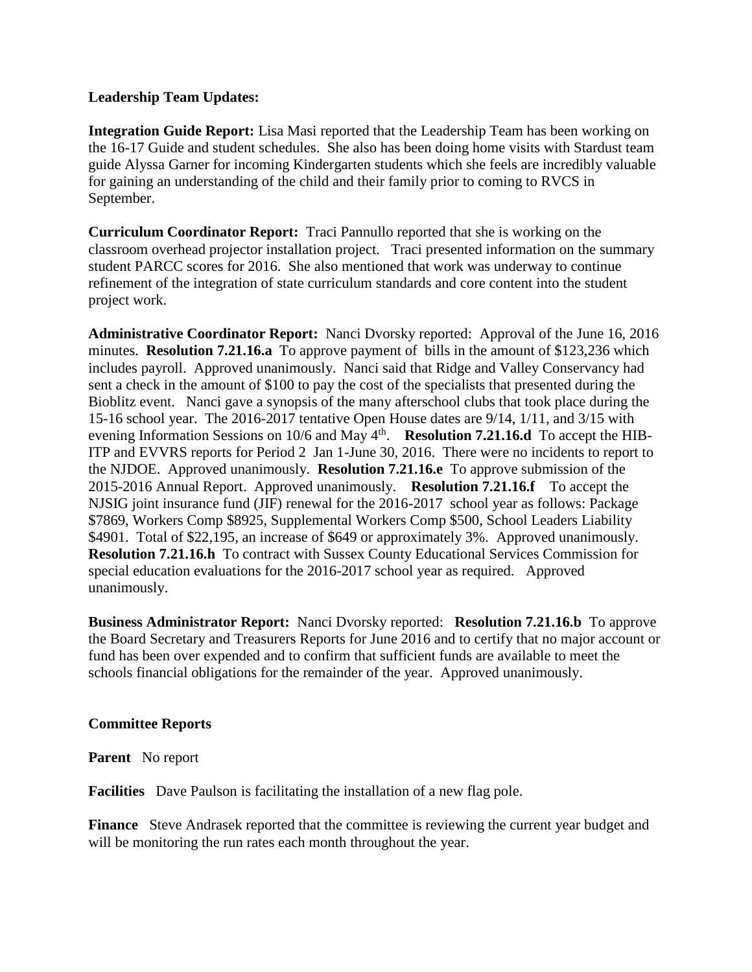## **Leadership Team Updates:**

**Integration Guide Report:** Lisa Masi reported that the Leadership Team has been working on the 16-17 Guide and student schedules. She also has been doing home visits with Stardust team guide Alyssa Garner for incoming Kindergarten students which she feels are incredibly valuable for gaining an understanding of the child and their family prior to coming to RVCS in September.

**Curriculum Coordinator Report:** Traci Pannullo reported that she is working on the classroom overhead projector installation project. Traci presented information on the summary student PARCC scores for 2016. She also mentioned that work was underway to continue refinement of the integration of state curriculum standards and core content into the student project work.

**Administrative Coordinator Report:** Nanci Dvorsky reported: Approval of the June 16, 2016 minutes. **Resolution 7.21.16.a** To approve payment of bills in the amount of \$123,236 which includes payroll. Approved unanimously. Nanci said that Ridge and Valley Conservancy had sent a check in the amount of \$100 to pay the cost of the specialists that presented during the Bioblitz event. Nanci gave a synopsis of the many afterschool clubs that took place during the 15-16 school year. The 2016-2017 tentative Open House dates are 9/14, 1/11, and 3/15 with evening Information Sessions on 10/6 and May 4<sup>th</sup>. Resolution 7.21.16.d To accept the HIB-ITP and EVVRS reports for Period 2 Jan 1-June 30, 2016. There were no incidents to report to the NJDOE. Approved unanimously. **Resolution 7.21.16.e** To approve submission of the 2015-2016 Annual Report. Approved unanimously. **Resolution 7.21.16.f** To accept the NJSIG joint insurance fund (JIF) renewal for the 2016-2017 school year as follows: Package \$7869, Workers Comp \$8925, Supplemental Workers Comp \$500, School Leaders Liability \$4901. Total of \$22,195, an increase of \$649 or approximately 3%. Approved unanimously. **Resolution 7.21.16.h** To contract with Sussex County Educational Services Commission for special education evaluations for the 2016-2017 school year as required. Approved unanimously.

**Business Administrator Report:** Nanci Dvorsky reported: **Resolution 7.21.16.b** To approve the Board Secretary and Treasurers Reports for June 2016 and to certify that no major account or fund has been over expended and to confirm that sufficient funds are available to meet the schools financial obligations for the remainder of the year. Approved unanimously.

### **Committee Reports**

**Parent** No report

**Facilities** Dave Paulson is facilitating the installation of a new flag pole.

**Finance** Steve Andrasek reported that the committee is reviewing the current year budget and will be monitoring the run rates each month throughout the year.